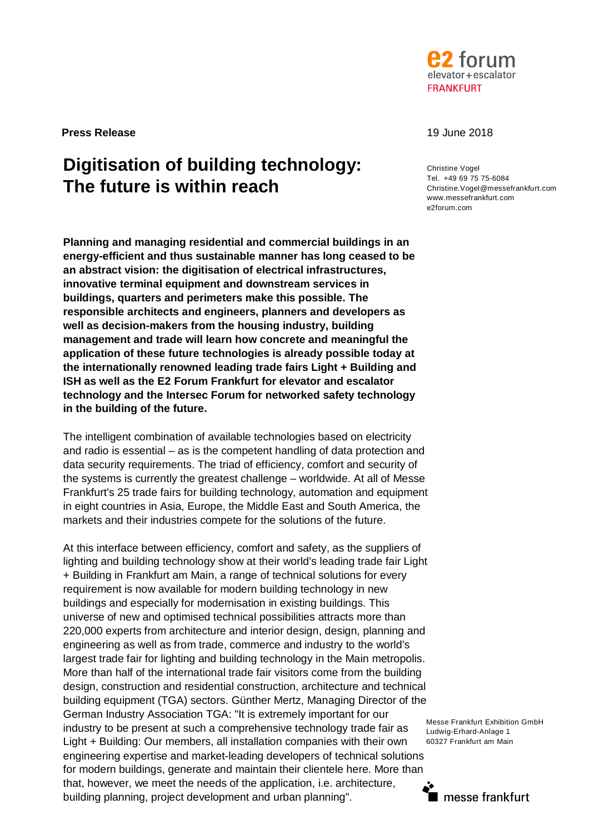

**Press Release** 19 June 2018

# **Digitisation of building technology: The future is within reach**

**Planning and managing residential and commercial buildings in an energy-efficient and thus sustainable manner has long ceased to be an abstract vision: the digitisation of electrical infrastructures, innovative terminal equipment and downstream services in buildings, quarters and perimeters make this possible. The responsible architects and engineers, planners and developers as well as decision-makers from the housing industry, building management and trade will learn how concrete and meaningful the application of these future technologies is already possible today at the internationally renowned leading trade fairs Light + Building and ISH as well as the E2 Forum Frankfurt for elevator and escalator technology and the Intersec Forum for networked safety technology in the building of the future.**

The intelligent combination of available technologies based on electricity and radio is essential – as is the competent handling of data protection and data security requirements. The triad of efficiency, comfort and security of the systems is currently the greatest challenge – worldwide. At all of Messe Frankfurt's 25 trade fairs for building technology, automation and equipment in eight countries in Asia, Europe, the Middle East and South America, the markets and their industries compete for the solutions of the future.

At this interface between efficiency, comfort and safety, as the suppliers of lighting and building technology show at their world's leading trade fair Light + Building in Frankfurt am Main, a range of technical solutions for every requirement is now available for modern building technology in new buildings and especially for modernisation in existing buildings. This universe of new and optimised technical possibilities attracts more than 220,000 experts from architecture and interior design, design, planning and engineering as well as from trade, commerce and industry to the world's largest trade fair for lighting and building technology in the Main metropolis. More than half of the international trade fair visitors come from the building design, construction and residential construction, architecture and technical building equipment (TGA) sectors. Günther Mertz, Managing Director of the German Industry Association TGA: "It is extremely important for our industry to be present at such a comprehensive technology trade fair as Light + Building: Our members, all installation companies with their own engineering expertise and market-leading developers of technical solutions for modern buildings, generate and maintain their clientele here. More than that, however, we meet the needs of the application, i.e. architecture, building planning, project development and urban planning".

Christine Vogel Tel. +49 69 75 75-6084 Christine.Vogel@messefrankfurt.com www.messefrankfurt.com e2forum.com

Messe Frankfurt Exhibition GmbH Ludwig-Erhard-Anlage 1 60327 Frankfurt am Main

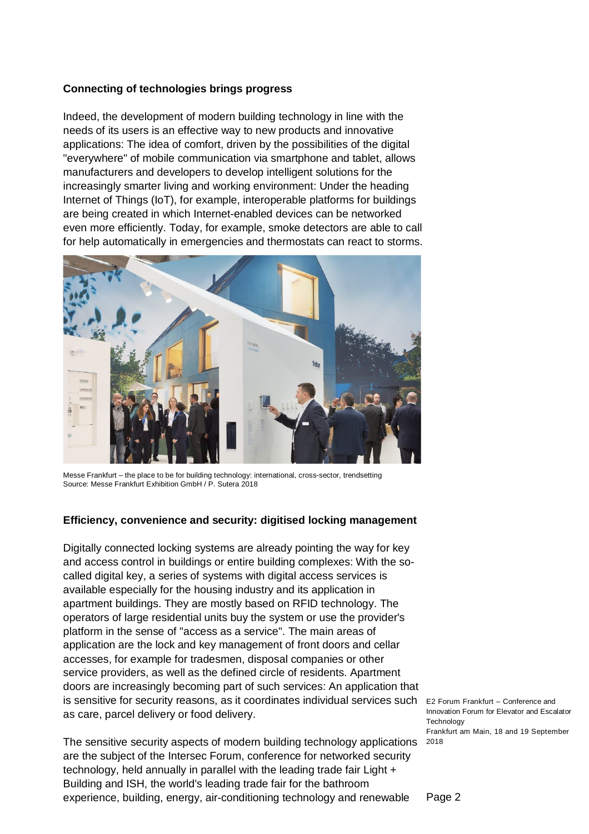# **Connecting of technologies brings progress**

Indeed, the development of modern building technology in line with the needs of its users is an effective way to new products and innovative applications: The idea of comfort, driven by the possibilities of the digital "everywhere" of mobile communication via smartphone and tablet, allows manufacturers and developers to develop intelligent solutions for the increasingly smarter living and working environment: Under the heading Internet of Things (IoT), for example, interoperable platforms for buildings are being created in which Internet-enabled devices can be networked even more efficiently. Today, for example, smoke detectors are able to call for help automatically in emergencies and thermostats can react to storms.



Messe Frankfurt – the place to be for building technology: international, cross-sector, trendsetting Source: Messe Frankfurt Exhibition GmbH / P. Sutera 2018

#### **Efficiency, convenience and security: digitised locking management**

is sensitive for security reasons, as it coordinates individual services such E2 Forum Frankfurt – Conference and Digitally connected locking systems are already pointing the way for key and access control in buildings or entire building complexes: With the socalled digital key, a series of systems with digital access services is available especially for the housing industry and its application in apartment buildings. They are mostly based on RFID technology. The operators of large residential units buy the system or use the provider's platform in the sense of "access as a service". The main areas of application are the lock and key management of front doors and cellar accesses, for example for tradesmen, disposal companies or other service providers, as well as the defined circle of residents. Apartment doors are increasingly becoming part of such services: An application that as care, parcel delivery or food delivery.

The sensitive security aspects of modern building technology applications 2018 are the subject of the Intersec Forum, conference for networked security technology, held annually in parallel with the leading trade fair Light + Building and ISH, the world's leading trade fair for the bathroom experience, building, energy, air-conditioning technology and renewable

Innovation Forum for Elevator and Escalator **Technology** Frankfurt am Main, 18 and 19 September

Page 2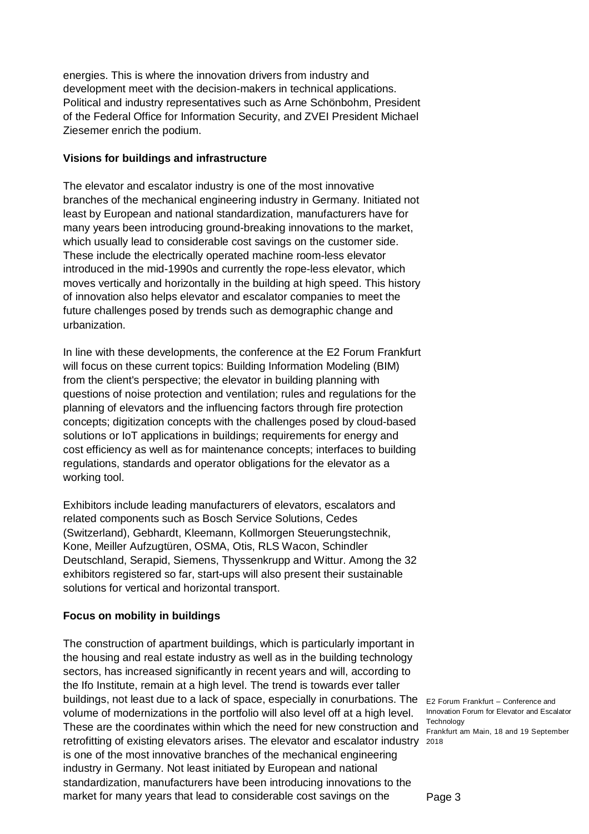energies. This is where the innovation drivers from industry and development meet with the decision-makers in technical applications. Political and industry representatives such as Arne Schönbohm, President of the Federal Office for Information Security, and ZVEI President Michael Ziesemer enrich the podium.

#### **Visions for buildings and infrastructure**

The elevator and escalator industry is one of the most innovative branches of the mechanical engineering industry in Germany. Initiated not least by European and national standardization, manufacturers have for many years been introducing ground-breaking innovations to the market, which usually lead to considerable cost savings on the customer side. These include the electrically operated machine room-less elevator introduced in the mid-1990s and currently the rope-less elevator, which moves vertically and horizontally in the building at high speed. This history of innovation also helps elevator and escalator companies to meet the future challenges posed by trends such as demographic change and urbanization.

In line with these developments, the conference at the E2 Forum Frankfurt will focus on these current topics: Building Information Modeling (BIM) from the client's perspective; the elevator in building planning with questions of noise protection and ventilation; rules and regulations for the planning of elevators and the influencing factors through fire protection concepts; digitization concepts with the challenges posed by cloud-based solutions or IoT applications in buildings; requirements for energy and cost efficiency as well as for maintenance concepts; interfaces to building regulations, standards and operator obligations for the elevator as a working tool.

Exhibitors include leading manufacturers of elevators, escalators and related components such as Bosch Service Solutions, Cedes (Switzerland), Gebhardt, Kleemann, Kollmorgen Steuerungstechnik, Kone, Meiller Aufzugtüren, OSMA, Otis, RLS Wacon, Schindler Deutschland, Serapid, Siemens, Thyssenkrupp and Wittur. Among the 32 exhibitors registered so far, start-ups will also present their sustainable solutions for vertical and horizontal transport.

# **Focus on mobility in buildings**

buildings, not least due to a lack of space, especially in conurbations. The E2 Forum Frankfurt – Conference and retrofitting of existing elevators arises. The elevator and escalator industry 2018 The construction of apartment buildings, which is particularly important in the housing and real estate industry as well as in the building technology sectors, has increased significantly in recent years and will, according to the Ifo Institute, remain at a high level. The trend is towards ever taller volume of modernizations in the portfolio will also level off at a high level. These are the coordinates within which the need for new construction and is one of the most innovative branches of the mechanical engineering industry in Germany. Not least initiated by European and national standardization, manufacturers have been introducing innovations to the market for many years that lead to considerable cost savings on the

Innovation Forum for Elevator and Escalator **Technology** Frankfurt am Main, 18 and 19 September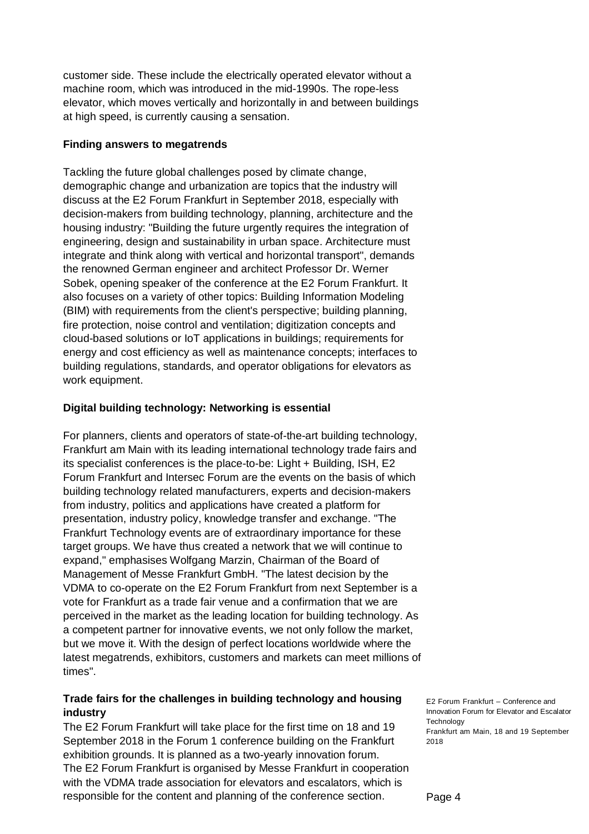customer side. These include the electrically operated elevator without a machine room, which was introduced in the mid-1990s. The rope-less elevator, which moves vertically and horizontally in and between buildings at high speed, is currently causing a sensation.

## **Finding answers to megatrends**

Tackling the future global challenges posed by climate change, demographic change and urbanization are topics that the industry will discuss at the E2 Forum Frankfurt in September 2018, especially with decision-makers from building technology, planning, architecture and the housing industry: "Building the future urgently requires the integration of engineering, design and sustainability in urban space. Architecture must integrate and think along with vertical and horizontal transport", demands the renowned German engineer and architect Professor Dr. Werner Sobek, opening speaker of the conference at the E2 Forum Frankfurt. It also focuses on a variety of other topics: Building Information Modeling (BIM) with requirements from the client's perspective; building planning, fire protection, noise control and ventilation; digitization concepts and cloud-based solutions or IoT applications in buildings; requirements for energy and cost efficiency as well as maintenance concepts; interfaces to building regulations, standards, and operator obligations for elevators as work equipment.

#### **Digital building technology: Networking is essential**

For planners, clients and operators of state-of-the-art building technology, Frankfurt am Main with its leading international technology trade fairs and its specialist conferences is the place-to-be: Light + Building, ISH, E2 Forum Frankfurt and Intersec Forum are the events on the basis of which building technology related manufacturers, experts and decision-makers from industry, politics and applications have created a platform for presentation, industry policy, knowledge transfer and exchange. "The Frankfurt Technology events are of extraordinary importance for these target groups. We have thus created a network that we will continue to expand," emphasises Wolfgang Marzin, Chairman of the Board of Management of Messe Frankfurt GmbH. "The latest decision by the VDMA to co-operate on the E2 Forum Frankfurt from next September is a vote for Frankfurt as a trade fair venue and a confirmation that we are perceived in the market as the leading location for building technology. As a competent partner for innovative events, we not only follow the market, but we move it. With the design of perfect locations worldwide where the latest megatrends, exhibitors, customers and markets can meet millions of times".

# **Trade fairs for the challenges in building technology and housing industry**

The E2 Forum Frankfurt will take place for the first time on 18 and 19 September 2018 in the Forum 1 conference building on the Frankfurt exhibition grounds. It is planned as a two-yearly innovation forum. The E2 Forum Frankfurt is organised by Messe Frankfurt in cooperation with the VDMA trade association for elevators and escalators, which is responsible for the content and planning of the conference section.

E2 Forum Frankfurt – Conference and Innovation Forum for Elevator and Escalator **Technology** Frankfurt am Main, 18 and 19 September 2018